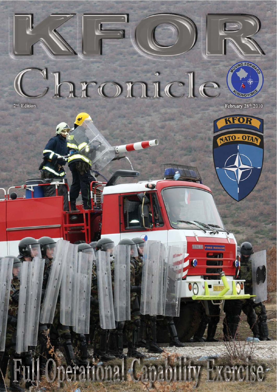

Jar 0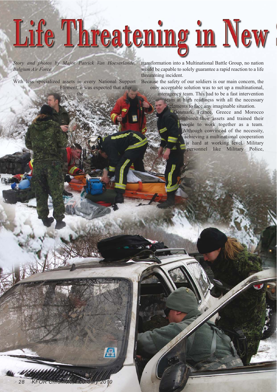## Life Threatening in New

*Story and photos by Major Patrick Van Hoeserlande, Belgium Air Force*

With less specialized assets in every National Support Element, it was expected that after

the

transformation into a Multinational Battle Group, no nation would be capable to solely guarantee a rapid reaction to a life threatening incident.

Because the safety of our soldiers is our main concern, the only acceptable solution was to set up a multinational,

interagency team. This had to be a fast intervention team at high readiness with all the necessary elements to face any imaginable situation.

Denmark, France, Greece and Morocco combined their assets and trained their people to work together as a team. Although convinced of the necessity, achieving a multinational cooperation is hard at working level. Military personnel like Military Police,

图